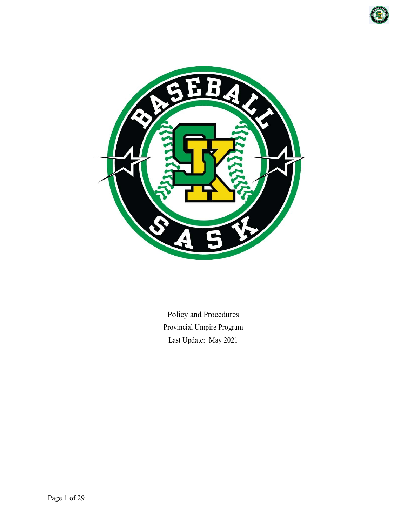



Policy and Procedures Provincial Umpire Program Last Update: May 2021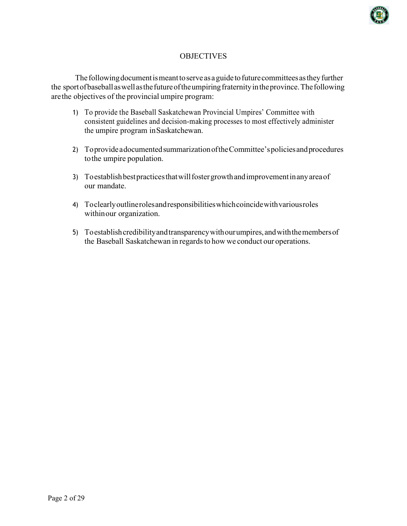

## **OBJECTIVES**

The following document is meant to serve as a guide to future committees as they further the sportofbaseballaswellasthefutureoftheumpiringfraternityintheprovince.Thefollowing arethe objectives of the provincial umpire program:

- 1) To provide the Baseball Saskatchewan Provincial Umpires' Committee with consistent guidelines and decision-making processes to most effectively administer the umpire program inSaskatchewan.
- 2) To provide a documented summarization of the Committee's policies and procedures tothe umpire population.
- 3) To establish best practices that will foster growth and improvement in any area of our mandate.
- 4) Toclearlyoutlinerolesandresponsibilitieswhichcoincidewithvariousroles withinour organization.
- 5) Toestablishcredibilityandtransparencywithourumpires,andwiththemembersof the Baseball Saskatchewan in regards to how we conduct our operations.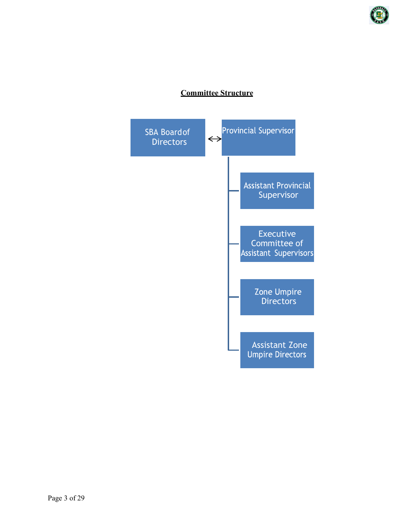

# **Committee Structure**

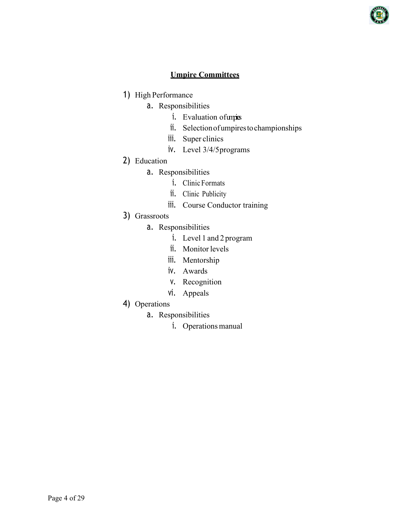

## **Umpire Committees**

- 1) High Performance
	- a. Responsibilities
		- i. Evaluation of units
		- ii. Selectionofumpirestochampionships
		- iii. Super clinics
		- iv. Level 3/4/5programs
- 2) Education
	- a. Responsibilities
		- i. Clinic Formats
		- ii. Clinic Publicity
		- iii. Course Conductor training
- 3) Grassroots
	- a. Responsibilities
		- i. Level 1 and 2 program
		- ii. Monitor levels
		- iii. Mentorship
		- iv. Awards
		- v. Recognition
		- vi. Appeals
- 4) Operations
	- a. Responsibilities
		- i. Operations manual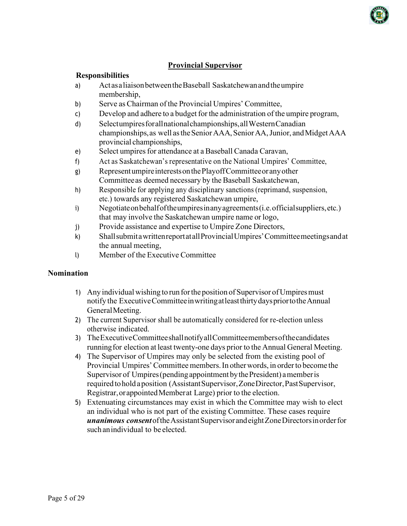

## **Provincial Supervisor**

### **Responsibilities**

- a) ActasaliaisonbetweentheBaseball Saskatchewanandtheumpire membership,
- b) Serve as Chairman of the Provincial Umpires' Committee,
- c) Develop and adhere to a budget for the administration of the umpire program,
- d) Selectumpiresforallnationalchampionships,allWesternCanadian championships, as well as the Senior AAA, Senior AA, Junior, and Midget AAA provincial championships,
- e) Select umpires for attendance at a Baseball Canada Caravan,
- f) Act as Saskatchewan's representative on the National Umpires' Committee,
- g) RepresentumpireinterestsonthePlayoffCommitteeoranyother Committeeas deemed necessary by the Baseball Saskatchewan,
- h) Responsible for applying any disciplinary sanctions (reprimand, suspension, etc.) towards any registered Saskatchewan umpire,
- i) Negotiateonbehalfoftheumpiresinanyagreements(i.e.officialsuppliers,etc.) that may involve the Saskatchewan umpire name or logo,
- j) Provide assistance and expertise to Umpire Zone Directors,
- k) ShallsubmitawrittenreportatallProvincialUmpires'Committeemeetingsandat the annual meeting,
- l) Member of the Executive Committee

### **Nomination**

- 1) Any individual wishing to run for the position of Supervisor of Umpires must notify the ExecutiveCommitteeinwritingatleastthirtydayspriortotheAnnual GeneralMeeting.
- 2) The current Supervisor shall be automatically considered for re-election unless otherwise indicated.
- 3) TheExecutiveCommitteeshallnotifyallCommitteemembersofthecandidates runningfor election at least twenty-one days prior to the Annual General Meeting.
- 4) The Supervisor of Umpires may only be selected from the existing pool of Provincial Umpires'Committee members.In otherwords, in orderto become the Supervisor of Umpires (pending appointment by the President) a member is required to hold a position (Assistant Supervisor, Zone Director, Past Supervisor, Registrar,orappointedMemberat Large) prior to the election.
- 5) Extenuating circumstances may exist in which the Committee may wish to elect an individual who is not part of the existing Committee. These cases require *unanimous consent*oftheAssistantSupervisorandeightZoneDirectorsinorderfor such an individual to be elected.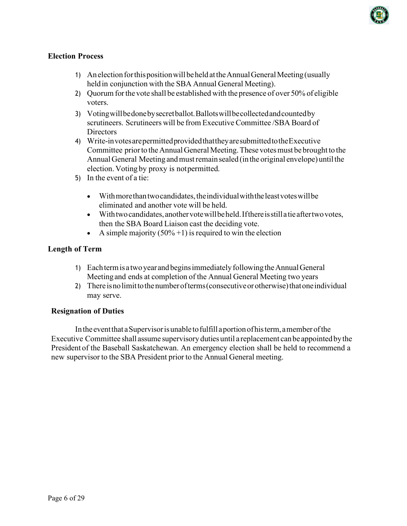

## **Election Process**

- 1) AnelectionforthispositionwillbeheldattheAnnualGeneralMeeting(usually heldin conjunction with the SBA Annual General Meeting).
- 2) Quorum forthe vote shall be established with the presence of over 50% of eligible voters.
- 3) Votingwillbedonebysecretballot.Ballotswillbecollectedandcountedby scrutineers. Scrutineers will be from Executive Committee /SBA Board of Directors
- 4) Write-invotesarepermittedprovidedthattheyaresubmittedtotheExecutive Committee prior to the Annual General Meeting. These votes must be brought to the Annual General Meeting and must remain sealed (in the original envelope) until the election. Voting by proxy is notpermitted.
- 5) In the event of a tie:
	- With more than two candidates, the individual with the least votes will be eliminated and another vote will be held.
	- With two candidates, another vote will be held. If there is still a tie after two votes, then the SBA Board Liaison cast the deciding vote.
	- A simple majority  $(50\% + 1)$  is required to win the election

### **Length of Term**

- 1) Eachtermis a twoyearandbeginsimmediatelyfollowingtheAnnualGeneral Meetingand ends at completion of the Annual General Meeting two years
- 2) There is no limit to the number of terms (consecutive or otherwise) that one individual may serve.

### **Resignation of Duties**

Inthe eventthat aSupervisorisunable tofulfill aportionofhisterm,amember ofthe Executive Committee shall assume supervisory duties until a replacement canbe appointedbythe President of the Baseball Saskatchewan. An emergency election shall be held to recommend a new supervisor to the SBA President prior to the Annual General meeting.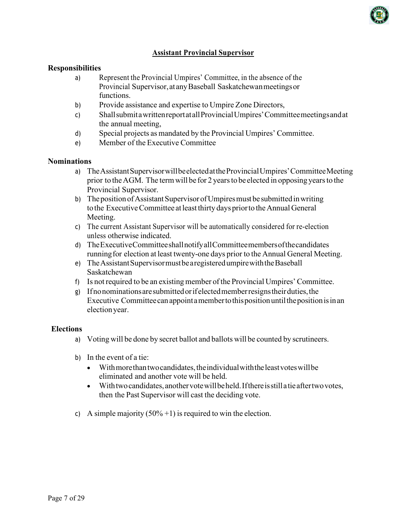

### **Assistant Provincial Supervisor**

#### **Responsibilities**

- a) Represent the Provincial Umpires' Committee, in the absence of the Provincial Supervisor,atanyBaseball Saskatchewanmeetingsor functions.
- b) Provide assistance and expertise to Umpire Zone Directors,
- c) ShallsubmitawrittenreportatallProvincialUmpires'Committeemeetingsandat the annual meeting,
- d) Special projects as mandated by the Provincial Umpires' Committee.
- e) Member of the Executive Committee

#### **Nominations**

- a) TheAssistantSupervisorwillbeelectedattheProvincialUmpires'CommitteeMeeting prior to the AGM. The term will be for 2 years to be elected in opposing years to the Provincial Supervisor.
- b) The position of Assistant Supervisor of Umpires must be submitted in writing to the Executive Committee at least thirty days prior to the Annual General Meeting.
- c) The current Assistant Supervisor will be automatically considered for re-election unless otherwise indicated.
- d) TheExecutiveCommitteeshallnotifyallCommitteemembersofthecandidates runningfor election at least twenty-one days prior to the Annual General Meeting.
- e) TheAssistantSupervisormustbearegisteredumpirewiththeBaseball Saskatchewan
- f) Is notrequired to be an existing member of the Provincial Umpires' Committee.
- g) Ifnonominationsaresubmittedorifelectedmemberresignstheirduties,the Executive Committee can appoint a member to this position until the position is in an electionyear.

#### **Elections**

- a) Voting will be done by secret ballot and ballots will be counted by scrutineers.
- b) In the event of a tie:
	- With more than two candidates, the individual with the least votes will be eliminated and another vote will be held.
	- Withtwocandidates,anothervotewillbeheld.Ifthereisstillatieaftertwovotes, then the Past Supervisor will cast the deciding vote.
- c) A simple majority  $(50\% + 1)$  is required to win the election.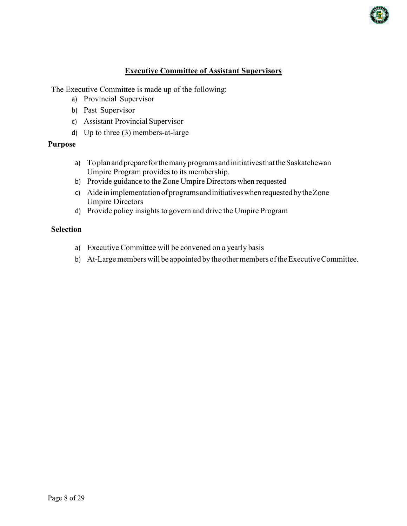

## **Executive Committee of Assistant Supervisors**

The Executive Committee is made up of the following:

- a) Provincial Supervisor
- b) Past Supervisor
- c) Assistant Provincial Supervisor
- d) Up to three (3) members-at-large

### **Purpose**

- a) Toplan and prepare for the many programs and initiatives that the Saskatchewan Umpire Program provides to its membership.
- b) Provide guidance to the Zone Umpire Directors when requested
- c) AideinimplementationofprogramsandinitiativeswhenrequestedbytheZone Umpire Directors
- d) Provide policy insights to govern and drive the Umpire Program

#### **Selection**

- a) Executive Committee will be convened on a yearly basis
- b) At-Large members will be appointed by the other members of the Executive Committee.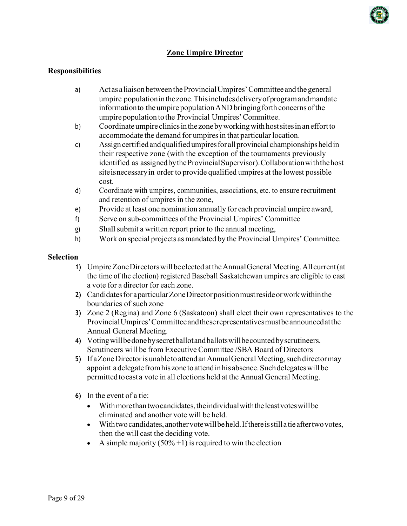

## **Zone Umpire Director**

### **Responsibilities**

- a) Act as a liaisonbetweentheProvincialUmpires'Committee andthegeneral umpire populationinthezone.Thisincludesdeliveryofprogramandmandate information to the umpire population AND bringing forth concerns of the umpire population tothe Provincial Umpires'Committee.
- b) Coordinateumpire clinicsinthe zonebyworkingwithhostsitesinaneffortto accommodate the demand for umpires in that particular location.
- c) Assigncertifiedandqualifiedumpiresforallprovincial championshipsheldin their respective zone (with the exception of the tournaments previously identified as assigned by the Provincial Supervisor). Collaboration with the host siteisnecessaryin order to provide qualified umpires at the lowest possible cost.
- d) Coordinate with umpires, communities, associations, etc. to ensure recruitment and retention of umpires in the zone,
- e) Provide at least one nomination annually for each provincial umpire award,
- f) Serve on sub-committees of the Provincial Umpires' Committee
- g) Shall submit a written report prior to the annual meeting,
- h) Work on special projects asmandated by the Provincial Umpires' Committee.

#### **Selection**

- **1)** UmpireZoneDirectorswillbeelectedattheAnnualGeneralMeeting.Allcurrent(at the time of the election) registered Baseball Saskatchewan umpires are eligible to cast a vote for a director for each zone.
- **2)** CandidatesforaparticularZoneDirectorpositionmustresideorworkwithinthe boundaries of such zone
- **3)** Zone 2 (Regina) and Zone 6 (Saskatoon) shall elect their own representatives to the ProvincialUmpires'Committeeandtheserepresentativesmustbeannouncedatthe Annual General Meeting.
- **4)** Votingwillbedonebysecretballotandballotswillbecountedbyscrutineers. Scrutineers will be from Executive Committee /SBA Board of Directors
- **5)** If a Zone Director is unable to attend an Annual General Meeting, such director may appoint a delegate from his zone to attend in his absence. Such delegates will be permitted to cast a vote in all elections held at the Annual General Meeting.
- **6)** In the event of a tie:
	- With more than two candidates, the individual with the least votes will be eliminated and another vote will be held.
	- With two candidates, another vote will be held. If there is still a tie after two votes, then the will cast the deciding vote.
	- A simple majority  $(50\% + 1)$  is required to win the election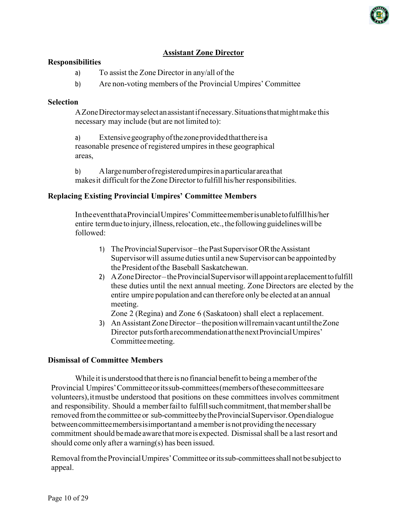

## **Assistant Zone Director**

#### **Responsibilities**

- a) To assist the Zone Director in any/all of the
- b) Are non-voting members of the Provincial Umpires' Committee

#### **Selection**

AZoneDirectormayselectanassistantifnecessary.Situationsthatmightmake this necessary may include (but are not limited to):

a) Extensivegeographyofthezoneprovidedthatthereisa reasonable presence of registered umpires in these geographical areas,

b) Alargenumberofregisteredumpiresinaparticularareathat makes it difficult for the Zone Director to fulfill his/her responsibilities.

#### **Replacing Existing Provincial Umpires' Committee Members**

IntheeventthataProvincialUmpires'Committeememberisunabletofulfillhis/her entire term due to injury, illness, relocation, etc., the following guidelines will be followed:

- 1) TheProvincialSupervisor–thePastSupervisorORtheAssistant Supervisor will assume duties until a new Supervisor can be appointed by thePresidentofthe Baseball Saskatchewan.
- 2) AZoneDirector–theProvincialSupervisorwillappointareplacementtofulfill these duties until the next annual meeting. Zone Directors are elected by the entire umpire population and can therefore only be elected at an annual meeting.

Zone 2 (Regina) and Zone 6 (Saskatoon) shall elect a replacement.

3) AnAssistantZoneDirector–thepositionwillremainvacantuntiltheZone Director putsfortharecommendationatthenextProvincialUmpires' Committeemeeting.

### **Dismissal of Committee Members**

While it is understood that there is no financial benefit to being a member of the Provincial Umpires'Committeeoritssub-committees(membersofthesecommitteesare volunteers),itmustbe understood that positions on these committees involves commitment and responsibility. Should a member fail to fulfill such commitment, that member shall be removed fromthe committee or sub-committeebytheProvincialSupervisor.Opendialogue between committeemembers is important and a member is not providing the necessary commitment should be made aware that more is expected. Dismissal shall be a last resort and should come only after a warning(s) has been issued.

Removal from the Provincial Umpires' Committee or its sub-committees shall not be subject to appeal.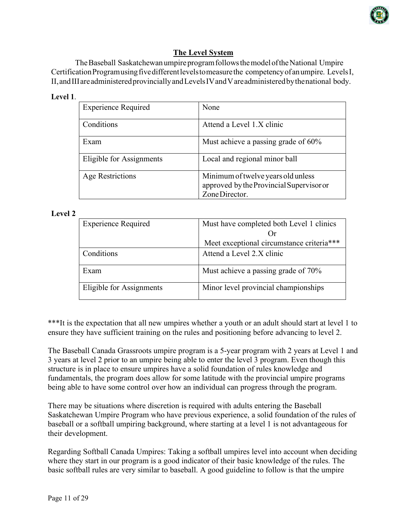

# **The Level System**

The Baseball Saskatchewan umpire program follows the model of the National Umpire Certification Programusing five different levels to measure the competency of an umpire. Levels I, II,andIIIareadministeredprovinciallyandLevelsIVandVareadministeredbythenational body.

### **Level 1**.

| <b>Experience Required</b> | None                                                                                             |
|----------------------------|--------------------------------------------------------------------------------------------------|
| Conditions                 | Attend a Level 1.X clinic                                                                        |
| Exam                       | Must achieve a passing grade of 60%                                                              |
| Eligible for Assignments   | Local and regional minor ball                                                                    |
| <b>Age Restrictions</b>    | Minimum of twelve years old unless<br>approved by the Provincial Supervisor or<br>Zone Director. |

### **Level 2**

| <b>Experience Required</b> | Must have completed both Level 1 clinics  |
|----------------------------|-------------------------------------------|
|                            |                                           |
|                            | Meet exceptional circumstance criteria*** |
| Conditions                 | Attend a Level 2.X clinic                 |
| Exam                       | Must achieve a passing grade of 70%       |
| Eligible for Assignments   | Minor level provincial championships      |

\*\*\*It is the expectation that all new umpires whether a youth or an adult should start at level 1 to ensure they have sufficient training on the rules and positioning before advancing to level 2.

The Baseball Canada Grassroots umpire program is a 5-year program with 2 years at Level 1 and 3 years at level 2 prior to an umpire being able to enter the level 3 program. Even though this structure is in place to ensure umpires have a solid foundation of rules knowledge and fundamentals, the program does allow for some latitude with the provincial umpire programs being able to have some control over how an individual can progress through the program.

There may be situations where discretion is required with adults entering the Baseball Saskatchewan Umpire Program who have previous experience, a solid foundation of the rules of baseball or a softball umpiring background, where starting at a level 1 is not advantageous for their development.

Regarding Softball Canada Umpires: Taking a softball umpires level into account when deciding where they start in our program is a good indicator of their basic knowledge of the rules. The basic softball rules are very similar to baseball. A good guideline to follow is that the umpire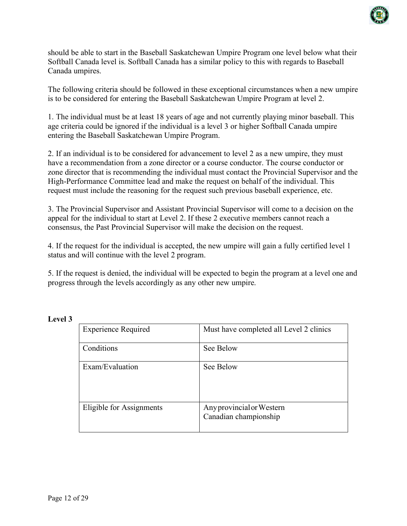

should be able to start in the Baseball Saskatchewan Umpire Program one level below what their Softball Canada level is. Softball Canada has a similar policy to this with regards to Baseball Canada umpires.

The following criteria should be followed in these exceptional circumstances when a new umpire is to be considered for entering the Baseball Saskatchewan Umpire Program at level 2.

1. The individual must be at least 18 years of age and not currently playing minor baseball. This age criteria could be ignored if the individual is a level 3 or higher Softball Canada umpire entering the Baseball Saskatchewan Umpire Program.

2. If an individual is to be considered for advancement to level 2 as a new umpire, they must have a recommendation from a zone director or a course conductor. The course conductor or zone director that is recommending the individual must contact the Provincial Supervisor and the High-Performance Committee lead and make the request on behalf of the individual. This request must include the reasoning for the request such previous baseball experience, etc.

3. The Provincial Supervisor and Assistant Provincial Supervisor will come to a decision on the appeal for the individual to start at Level 2. If these 2 executive members cannot reach a consensus, the Past Provincial Supervisor will make the decision on the request.

4. If the request for the individual is accepted, the new umpire will gain a fully certified level 1 status and will continue with the level 2 program.

5. If the request is denied, the individual will be expected to begin the program at a level one and progress through the levels accordingly as any other new umpire.

| <b>Experience Required</b> | Must have completed all Level 2 clinics            |
|----------------------------|----------------------------------------------------|
| Conditions                 | See Below                                          |
| Exam/Evaluation            | See Below                                          |
| Eligible for Assignments   | Any provincial or Western<br>Canadian championship |

**Level 3**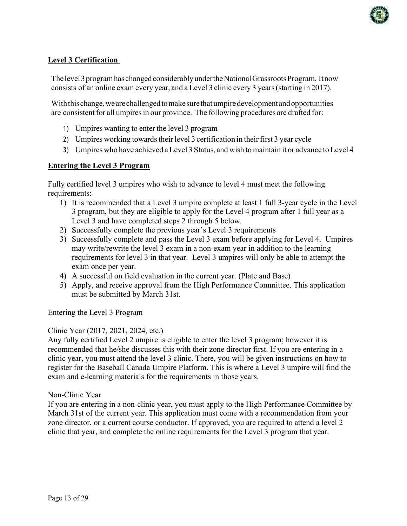

## **Level 3 Certification**

The level 3 program has changed considerably under the National Grassroots Program. It now consists of an online exam every year, and a Level 3 clinic every 3 years(starting in 2017).

With this change, we are challenged to make sure that umpire development and opportunities are consistent for all umpires in our province. The following procedures are drafted for:

- 1) Umpires wanting to enter the level 3 program
- 2) Umpires working towards their level 3 certification in their first 3 year cycle
- 3) Umpires who have achieved a Level 3 Status, and wish to maintain it or advance toLevel 4

## **Entering the Level 3 Program**

Fully certified level 3 umpires who wish to advance to level 4 must meet the following requirements:

- 1) It is recommended that a Level 3 umpire complete at least 1 full 3-year cycle in the Level 3 program, but they are eligible to apply for the Level 4 program after 1 full year as a Level 3 and have completed steps 2 through 5 below.
- 2) Successfully complete the previous year's Level 3 requirements
- 3) Successfully complete and pass the Level 3 exam before applying for Level 4. Umpires may write/rewrite the level 3 exam in a non-exam year in addition to the learning requirements for level 3 in that year. Level 3 umpires will only be able to attempt the exam once per year.
- 4) A successful on field evaluation in the current year. (Plate and Base)
- 5) Apply, and receive approval from the High Performance Committee. This application must be submitted by March 31st.

Entering the Level 3 Program

## Clinic Year (2017, 2021, 2024, etc.)

Any fully certified Level 2 umpire is eligible to enter the level 3 program; however it is recommended that he/she discusses this with their zone director first. If you are entering in a clinic year, you must attend the level 3 clinic. There, you will be given instructions on how to register for the Baseball Canada Umpire Platform. This is where a Level 3 umpire will find the exam and e-learning materials for the requirements in those years.

### Non-Clinic Year

If you are entering in a non-clinic year, you must apply to the High Performance Committee by March 31st of the current year. This application must come with a recommendation from your zone director, or a current course conductor. If approved, you are required to attend a level 2 clinic that year, and complete the online requirements for the Level 3 program that year.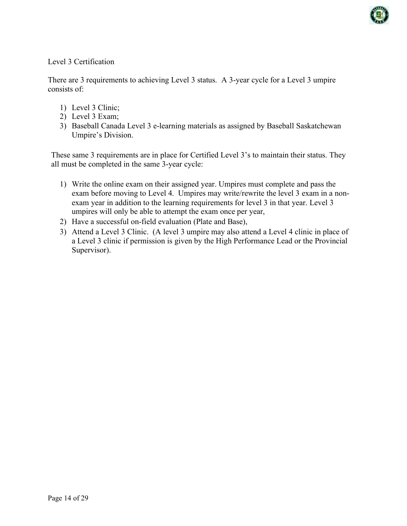

Level 3 Certification

There are 3 requirements to achieving Level 3 status. A 3-year cycle for a Level 3 umpire consists of:

- 1) Level 3 Clinic;
- 2) Level 3 Exam;
- 3) Baseball Canada Level 3 e-learning materials as assigned by Baseball Saskatchewan Umpire's Division.

These same 3 requirements are in place for Certified Level 3's to maintain their status. They all must be completed in the same 3-year cycle:

- 1) Write the online exam on their assigned year. Umpires must complete and pass the exam before moving to Level 4. Umpires may write/rewrite the level 3 exam in a nonexam year in addition to the learning requirements for level 3 in that year. Level 3 umpires will only be able to attempt the exam once per year,
- 2) Have a successful on-field evaluation (Plate and Base),
- 3) Attend a Level 3 Clinic. (A level 3 umpire may also attend a Level 4 clinic in place of a Level 3 clinic if permission is given by the High Performance Lead or the Provincial Supervisor).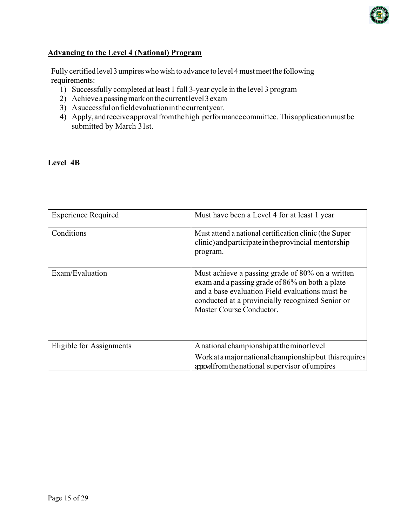

## **Advancing to the Level 4 (National) Program**

Fully certified level 3 umpires who wish to advance to level 4 must meet the following requirements:

- 1) Successfully completed at least 1 full 3-year cycle in the level 3 program
- 2) Achieve a passing mark on the current level  $3$  exam
- 3) Asuccessfulonfieldevaluationinthecurrentyear.
- 4) Apply,andreceiveapprovalfromthehigh performancecommittee. Thisapplicationmustbe submitted by March 31st.

### **Level 4B**

| <b>Experience Required</b> | Must have been a Level 4 for at least 1 year                                                                                                                                                                                           |
|----------------------------|----------------------------------------------------------------------------------------------------------------------------------------------------------------------------------------------------------------------------------------|
| Conditions                 | Must attend a national certification clinic (the Super<br>clinic) and participate in the provincial mentorship<br>program.                                                                                                             |
| Exam/Evaluation            | Must achieve a passing grade of 80% on a written<br>exam and a passing grade of 86% on both a plate<br>and a base evaluation Field evaluations must be<br>conducted at a provincially recognized Senior or<br>Master Course Conductor. |
| Eligible for Assignments   | A national championship at the minor level                                                                                                                                                                                             |
|                            | Work at a major national championship but this requires<br>appoalfrom the national supervisor of umpires                                                                                                                               |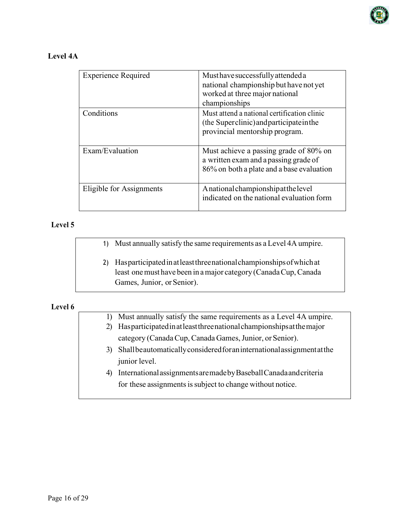

## **Level 4A**

| <b>Experience Required</b> | Must have successfully attended a<br>national championship but have not yet<br>worked at three major national<br>championships |
|----------------------------|--------------------------------------------------------------------------------------------------------------------------------|
| Conditions                 | Must attend a national certification clinic<br>(the Superclinic) and participate in the<br>provincial mentorship program.      |
| Exam/Evaluation            | Must achieve a passing grade of 80% on<br>a written exam and a passing grade of<br>86% on both a plate and a base evaluation   |
| Eligible for Assignments   | A national championship at the level<br>indicated on the national evaluation form                                              |

### **Level 5**

1) Must annually satisfy the same requirements as a Level 4A umpire.

2) Hasparticipatedinatleastthreenationalchampionshipsofwhichat least one must have been in a major category (Canada Cup, Canada Games, Junior, or Senior).

**Level 6**

- 1) Must annually satisfy the same requirements as a Level 4A umpire.
- 2) Hasparticipatedinatleastthreenationalchampionshipsatthemajor category (Canada Cup, Canada Games, Junior, or Senior).
- 3) Shallbeautomaticallyconsideredforaninternationalassignmentatthe junior level.
- 4) InternationalassignmentsaremadebyBaseballCanadaandcriteria for these assignments is subject to change without notice.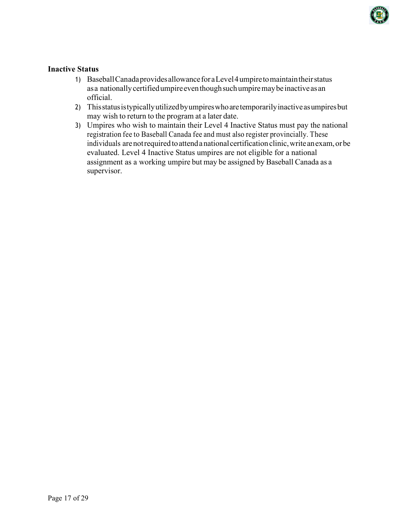

### **Inactive Status**

- 1) BaseballCanadaprovidesallowanceforaLevel4umpiretomaintaintheirstatus asa nationallycertifiedumpireeventhoughsuchumpiremaybe inactiveas an official.
- 2) Thisstatusistypicallyutilizedbyumpireswhoaretemporarilyinactiveasumpiresbut may wish to return to the program at a later date.
- 3) Umpires who wish to maintain their Level 4 Inactive Status must pay the national registration fee to Baseball Canada fee and must also register provincially. These individuals are not required to attend a national certification clinic, write an exam, or be evaluated. Level 4 Inactive Status umpires are not eligible for a national assignment as a working umpire but may be assigned by Baseball Canada as a supervisor.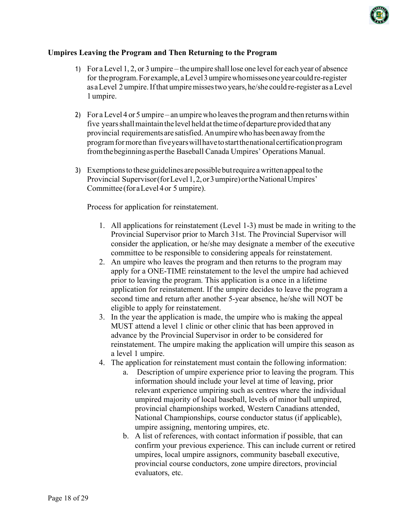

### **Umpires Leaving the Program and Then Returning to the Program**

- 1) For a Level 1, 2, or 3 umpire the umpire shall lose one levelfor each year of absence for theprogram.Forexample,aLevel3umpirewhomissesoneyearcouldre-register asaLevel 2 umpire.Ifthat umpiremissestwo years, he/she could re-register as aLevel 1 umpire.
- 2) For a Level 4 or 5 umpire an umpirewho leavestheprogram and then returnswithin five yearsshallmaintainthe level heldatthe timeof departure provided that any provincial requirements are satisfied.Anumpirewho has beenawayfromthe programformore than fiveyearswillhavetostartthenationalcertificationprogram fromthebeginningasperthe Baseball Canada Umpires' Operations Manual.
- 3) Exemptions to these guidelines are possible but require a written appeal to the Provincial Supervisor (for Level 1, 2, or 3 umpire) or the National Umpires' Committee (foraLevel4or 5 umpire).

Process for application for reinstatement.

- 1. All applications for reinstatement (Level 1-3) must be made in writing to the Provincial Supervisor prior to March 31st. The Provincial Supervisor will consider the application, or he/she may designate a member of the executive committee to be responsible to considering appeals for reinstatement.
- 2. An umpire who leaves the program and then returns to the program may apply for a ONE-TIME reinstatement to the level the umpire had achieved prior to leaving the program. This application is a once in a lifetime application for reinstatement. If the umpire decides to leave the program a second time and return after another 5-year absence, he/she will NOT be eligible to apply for reinstatement.
- 3. In the year the application is made, the umpire who is making the appeal MUST attend a level 1 clinic or other clinic that has been approved in advance by the Provincial Supervisor in order to be considered for reinstatement. The umpire making the application will umpire this season as a level 1 umpire.
- 4. The application for reinstatement must contain the following information:
	- a. Description of umpire experience prior to leaving the program. This information should include your level at time of leaving, prior relevant experience umpiring such as centres where the individual umpired majority of local baseball, levels of minor ball umpired, provincial championships worked, Western Canadians attended, National Championships, course conductor status (if applicable), umpire assigning, mentoring umpires, etc.
	- b. A list of references, with contact information if possible, that can confirm your previous experience. This can include current or retired umpires, local umpire assignors, community baseball executive, provincial course conductors, zone umpire directors, provincial evaluators, etc.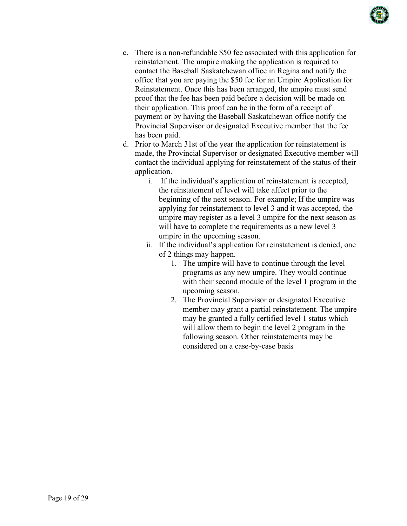

- c. There is a non-refundable \$50 fee associated with this application for reinstatement. The umpire making the application is required to contact the Baseball Saskatchewan office in Regina and notify the office that you are paying the \$50 fee for an Umpire Application for Reinstatement. Once this has been arranged, the umpire must send proof that the fee has been paid before a decision will be made on their application. This proof can be in the form of a receipt of payment or by having the Baseball Saskatchewan office notify the Provincial Supervisor or designated Executive member that the fee has been paid.
- d. Prior to March 31st of the year the application for reinstatement is made, the Provincial Supervisor or designated Executive member will contact the individual applying for reinstatement of the status of their application.
	- i. If the individual's application of reinstatement is accepted, the reinstatement of level will take affect prior to the beginning of the next season. For example; If the umpire was applying for reinstatement to level 3 and it was accepted, the umpire may register as a level 3 umpire for the next season as will have to complete the requirements as a new level 3 umpire in the upcoming season.
	- ii. If the individual's application for reinstatement is denied, one of 2 things may happen.
		- 1. The umpire will have to continue through the level programs as any new umpire. They would continue with their second module of the level 1 program in the upcoming season.
		- 2. The Provincial Supervisor or designated Executive member may grant a partial reinstatement. The umpire may be granted a fully certified level 1 status which will allow them to begin the level 2 program in the following season. Other reinstatements may be considered on a case-by-case basis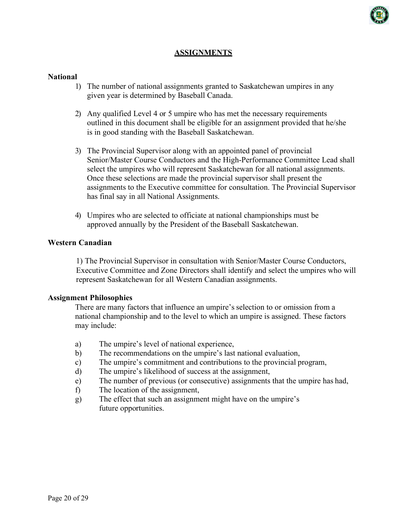

## **ASSIGNMENTS**

#### **National**

- 1) The number of national assignments granted to Saskatchewan umpires in any given year is determined by Baseball Canada.
- 2) Any qualified Level 4 or 5 umpire who has met the necessary requirements outlined in this document shall be eligible for an assignment provided that he/she is in good standing with the Baseball Saskatchewan.
- 3) The Provincial Supervisor along with an appointed panel of provincial Senior/Master Course Conductors and the High-Performance Committee Lead shall select the umpires who will represent Saskatchewan for all national assignments. Once these selections are made the provincial supervisor shall present the assignments to the Executive committee for consultation. The Provincial Supervisor has final say in all National Assignments.
- 4) Umpires who are selected to officiate at national championships must be approved annually by the President of the Baseball Saskatchewan.

### **Western Canadian**

1) The Provincial Supervisor in consultation with Senior/Master Course Conductors, Executive Committee and Zone Directors shall identify and select the umpires who will represent Saskatchewan for all Western Canadian assignments.

#### **Assignment Philosophies**

There are many factors that influence an umpire's selection to or omission from a national championship and to the level to which an umpire is assigned. These factors may include:

- a) The umpire's level of national experience,
- b) The recommendations on the umpire's last national evaluation,
- c) The umpire's commitment and contributions to the provincial program,
- d) The umpire's likelihood of success at the assignment,
- e) The number of previous (or consecutive) assignments that the umpire has had,
- f) The location of the assignment,
- g) The effect that such an assignment might have on the umpire's future opportunities.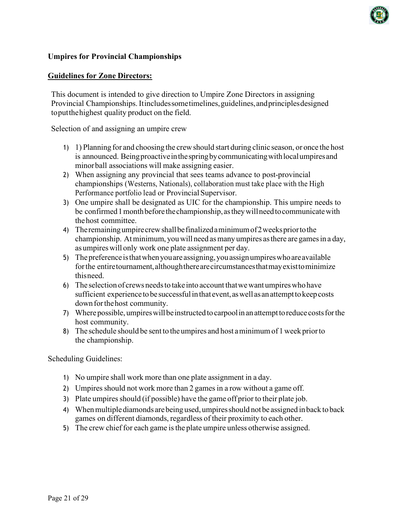## **Umpires for Provincial Championships**

### **Guidelines for Zone Directors:**

This document is intended to give direction to Umpire Zone Directors in assigning Provincial Championships. Itincludes some timelines, guidelines, and principles designed toputthehighest quality product on the field.

Selection of and assigning an umpire crew

- 1) 1) Planning for and choosing the crewshould start during clinic season, or once the host is announced. Beingproactiveinthespringbycommunicatingwithlocalumpiresand minorball associations will make assigning easier.
- 2) When assigning any provincial that sees teams advance to post-provincial championships (Westerns, Nationals), collaboration must take place with the High Performance portfolio lead or Provincial Supervisor.
- 3) One umpire shall be designated as UIC for the championship. This umpire needs to be confirmed 1 month before the championship, as they will need to communicate with thehost committee.
- 4) Theremainingumpirecrewshallbefinalizedaminimumof2weekspriortothe championship. Atminimum, youwillneed asmany umpires asthere are gamesin a day, as umpireswill only work one plate assignment per day.
- 5) Thepreference isthatwhenyouare assigning,youassignumpireswhoareavailable forthe entiretournament,althoughtherearecircumstancesthatmayexisttominimize thisneed.
- 6) The selection of crews needs to take into account that we want umpires who have sufficient experience to be successful in that event, as well as an attempt to keep costs downforthehost community.
- 7) Where possible, umpires will be instructed to carpool in an attempt to reduce costs for the host community.
- 8) The schedule should be sent to the umpires and host aminimumof 1week priorto the championship.

Scheduling Guidelines:

- 1) No umpire shall work more than one plate assignment in a day.
- 2) Umpires should not work more than 2 games in a row without a game off.
- 3) Plate umpires should (if possible) have the game off prior to their plate job.
- 4) Whenmultiplediamonds arebeing used, umpiresshould notbe assigned inback toback games on different diamonds, regardless of their proximity to each other.
- 5) The crew chief for each game isthe plate umpire unless otherwise assigned.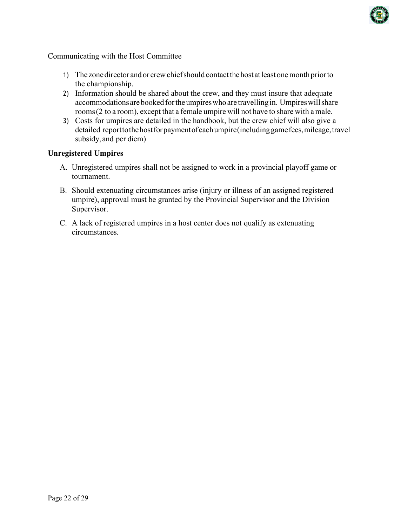

Communicating with the Host Committee

- 1) The zonedirector andor crewchiefshould contactthehost atleastonemonthpriorto the championship.
- 2) Information should be shared about the crew, and they must insure that adequate accommodations are booked for the umpires who are travelling in. Umpires will share rooms(2 to a room), except that a female umpire will not have to share with a male.
- 3) Costs for umpires are detailed in the handbook, but the crew chief will also give a detailed report to the host for payment of each umpire (including game fees, mileage, travel subsidy,and per diem)

### **Unregistered Umpires**

- A. Unregistered umpires shall not be assigned to work in a provincial playoff game or tournament.
- B. Should extenuating circumstances arise (injury or illness of an assigned registered umpire), approval must be granted by the Provincial Supervisor and the Division Supervisor.
- C. A lack of registered umpires in a host center does not qualify as extenuating circumstances.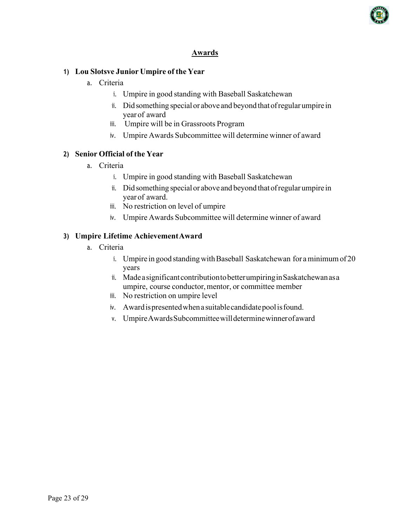

## **Awards**

## **1) Lou Slotsve Junior Umpire of the Year**

- a. Criteria
	- i. Umpire in good standing with Baseball Saskatchewan
	- ii. Did something special or above and beyond that of regular umpire in year of award
	- iii. Umpire will be in Grassroots Program
	- iv. Umpire Awards Subcommittee will determine winner of award

## **2) Senior Official of the Year**

- a. Criteria
	- i. Umpire in good standing with Baseball Saskatchewan
	- ii. Did something special or above and beyond that of regular umpire in year of award.
	- iii. No restriction on level of umpire
	- iv. Umpire Awards Subcommittee will determine winner of award

## **3) Umpire Lifetime AchievementAward**

- a. Criteria
	- i. Umpire in good standing with Baseball Saskatchewan for a minimum of 20 years
	- ii. Madeasignificant contribution to better umpiring in Saskatchewan as a umpire, course conductor, mentor, or committee member
	- iii. No restriction on umpire level
	- iv. Awardispresentedwhena suitablecandidatepoolisfound.
	- v. UmpireAwardsSubcommitteewilldeterminewinnerofaward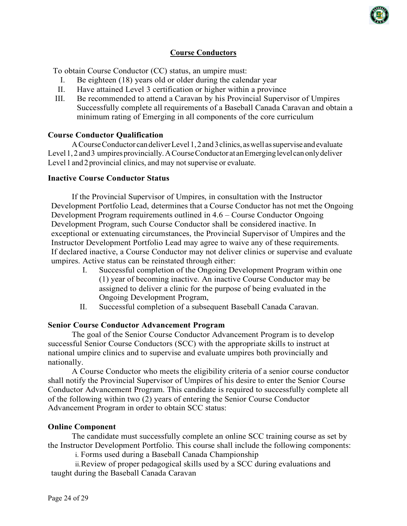

## **Course Conductors**

To obtain Course Conductor (CC) status, an umpire must:

- I. Be eighteen (18) years old or older during the calendar year
- II. Have attained Level 3 certification or higher within a province
- III. Be recommended to attend a Caravan by his Provincial Supervisor of Umpires Successfully complete all requirements of a Baseball Canada Caravan and obtain a minimum rating of Emerging in all components of the core curriculum

### **Course Conductor Qualification**

ACourseConductor candeliverLevel1,2and3clinics, aswell assupervise andevaluate Level 1, 2 and 3 umpires provincially. A Course Conductor at an Emerging level can only deliver Level 1 and 2 provincial clinics, and may not supervise or evaluate.

### **Inactive Course Conductor Status**

If the Provincial Supervisor of Umpires, in consultation with the Instructor Development Portfolio Lead, determines that a Course Conductor has not met the Ongoing Development Program requirements outlined in 4.6 – Course Conductor Ongoing Development Program, such Course Conductor shall be considered inactive. In exceptional or extenuating circumstances, the Provincial Supervisor of Umpires and the Instructor Development Portfolio Lead may agree to waive any of these requirements. If declared inactive, a Course Conductor may not deliver clinics or supervise and evaluate umpires. Active status can be reinstated through either:

- I. Successful completion of the Ongoing Development Program within one (1) year of becoming inactive. An inactive Course Conductor may be assigned to deliver a clinic for the purpose of being evaluated in the Ongoing Development Program,
- II. Successful completion of a subsequent Baseball Canada Caravan.

### **Senior Course Conductor Advancement Program**

The goal of the Senior Course Conductor Advancement Program is to develop successful Senior Course Conductors (SCC) with the appropriate skills to instruct at national umpire clinics and to supervise and evaluate umpires both provincially and nationally.

A Course Conductor who meets the eligibility criteria of a senior course conductor shall notify the Provincial Supervisor of Umpires of his desire to enter the Senior Course Conductor Advancement Program. This candidate is required to successfully complete all of the following within two (2) years of entering the Senior Course Conductor Advancement Program in order to obtain SCC status:

### **Online Component**

The candidate must successfully complete an online SCC training course as set by the Instructor Development Portfolio. This course shall include the following components:

i. Forms used during a Baseball Canada Championship

ii.Review of proper pedagogical skills used by a SCC during evaluations and taught during the Baseball Canada Caravan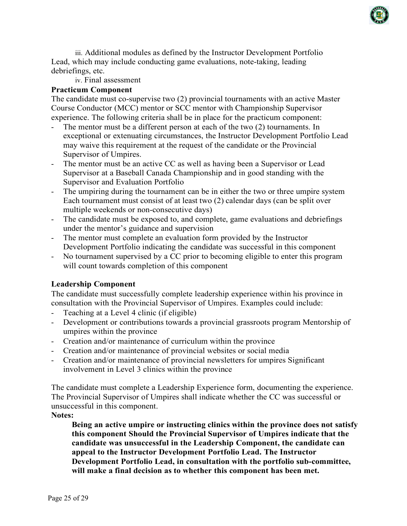

iii. Additional modules as defined by the Instructor Development Portfolio Lead, which may include conducting game evaluations, note-taking, leading debriefings, etc.

iv. Final assessment

## **Practicum Component**

The candidate must co-supervise two (2) provincial tournaments with an active Master Course Conductor (MCC) mentor or SCC mentor with Championship Supervisor experience. The following criteria shall be in place for the practicum component:

- The mentor must be a different person at each of the two (2) tournaments. In exceptional or extenuating circumstances, the Instructor Development Portfolio Lead may waive this requirement at the request of the candidate or the Provincial Supervisor of Umpires.
- The mentor must be an active CC as well as having been a Supervisor or Lead Supervisor at a Baseball Canada Championship and in good standing with the Supervisor and Evaluation Portfolio
- The umpiring during the tournament can be in either the two or three umpire system Each tournament must consist of at least two (2) calendar days (can be split over multiple weekends or non-consecutive days)
- The candidate must be exposed to, and complete, game evaluations and debriefings under the mentor's guidance and supervision
- The mentor must complete an evaluation form provided by the Instructor Development Portfolio indicating the candidate was successful in this component
- No tournament supervised by a CC prior to becoming eligible to enter this program will count towards completion of this component

## **Leadership Component**

The candidate must successfully complete leadership experience within his province in consultation with the Provincial Supervisor of Umpires. Examples could include:

- Teaching at a Level 4 clinic (if eligible)
- Development or contributions towards a provincial grassroots program Mentorship of umpires within the province
- Creation and/or maintenance of curriculum within the province
- Creation and/or maintenance of provincial websites or social media
- Creation and/or maintenance of provincial newsletters for umpires Significant involvement in Level 3 clinics within the province

The candidate must complete a Leadership Experience form, documenting the experience. The Provincial Supervisor of Umpires shall indicate whether the CC was successful or unsuccessful in this component.

**Notes:**

**Being an active umpire or instructing clinics within the province does not satisfy this component Should the Provincial Supervisor of Umpires indicate that the candidate was unsuccessful in the Leadership Component, the candidate can appeal to the Instructor Development Portfolio Lead. The Instructor Development Portfolio Lead, in consultation with the portfolio sub-committee, will make a final decision as to whether this component has been met.**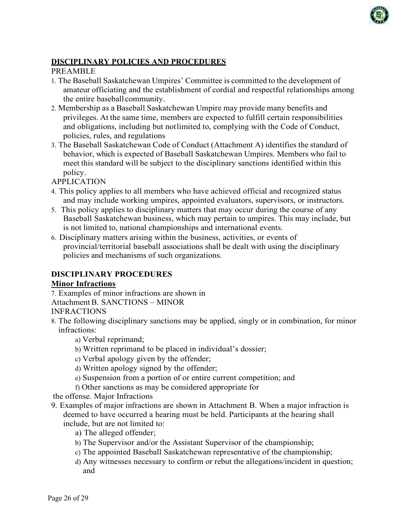

## **DISCIPLINARY POLICIES AND PROCEDURES**

### PREAMBLE

- 1. The Baseball Saskatchewan Umpires' Committee is committed to the development of amateur officiating and the establishment of cordial and respectful relationships among the entire baseball community.
- 2. Membership as a Baseball Saskatchewan Umpire may provide many benefits and privileges. At the same time, members are expected to fulfill certain responsibilities and obligations, including but notlimited to, complying with the Code of Conduct, policies, rules, and regulations
- 3. The Baseball Saskatchewan Code of Conduct (Attachment A) identifies the standard of behavior, which is expected of Baseball Saskatchewan Umpires. Members who fail to meet this standard will be subject to the disciplinary sanctions identified within this policy.

APPLICATION

- 4. This policy applies to all members who have achieved official and recognized status and may include working umpires, appointed evaluators, supervisors, or instructors.
- 5. This policy applies to disciplinary matters that may occur during the course of any Baseball Saskatchewan business, which may pertain to umpires. This may include, but is not limited to, national championships and international events.
- 6. Disciplinary matters arising within the business, activities, or events of provincial/territorial baseball associations shall be dealt with using the disciplinary policies and mechanisms of such organizations.

## **DISCIPLINARY PROCEDURES**

### **Minor Infractions**

7. Examples of minor infractions are shown in AttachmentB. SANCTIONS – MINOR INFRACTIONS

- 8. The following disciplinary sanctions may be applied, singly or in combination, for minor infractions:
	- a) Verbal reprimand;
	- b) Written reprimand to be placed in individual's dossier;
	- c) Verbal apology given by the offender;
	- d) Written apology signed by the offender;
	- e) Suspension from a portion of or entire current competition; and
	- f) Other sanctions as may be considered appropriate for

the offense. Major Infractions

- 9. Examples of major infractions are shown in Attachment B. When a major infraction is deemed to have occurred a hearing must be held. Participants at the hearing shall include, but are not limited to:
	- a) The alleged offender;
	- b) The Supervisor and/or the Assistant Supervisor of the championship;
	- c) The appointed Baseball Saskatchewan representative of the championship;
	- d) Any witnesses necessary to confirm or rebut the allegations/incident in question; and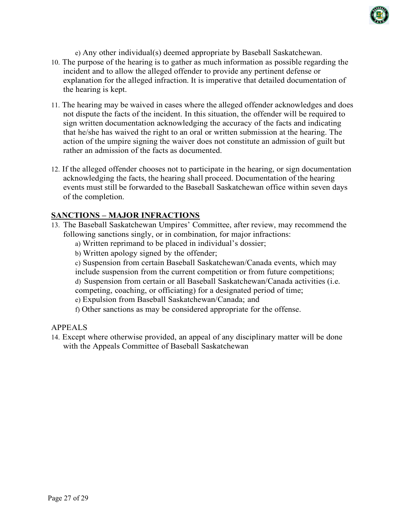

e) Any other individual(s) deemed appropriate by Baseball Saskatchewan.

- 10. The purpose of the hearing is to gather as much information as possible regarding the incident and to allow the alleged offender to provide any pertinent defense or explanation for the alleged infraction. It is imperative that detailed documentation of the hearing is kept.
- 11. The hearing may be waived in cases where the alleged offender acknowledges and does not dispute the facts of the incident. In this situation, the offender will be required to sign written documentation acknowledging the accuracy of the facts and indicating that he/she has waived the right to an oral or written submission at the hearing. The action of the umpire signing the waiver does not constitute an admission of guilt but rather an admission of the facts as documented.
- 12. If the alleged offender chooses not to participate in the hearing, or sign documentation acknowledging the facts, the hearing shall proceed. Documentation of the hearing events must still be forwarded to the Baseball Saskatchewan office within seven days of the completion.

## **SANCTIONS – MAJOR INFRACTIONS**

- 13. The Baseball Saskatchewan Umpires' Committee, after review, may recommend the following sanctions singly, or in combination, for major infractions:
	- a) Written reprimand to be placed in individual's dossier;
	- b) Written apology signed by the offender;
	- c) Suspension from certain Baseball Saskatchewan/Canada events, which may

include suspension from the current competition or from future competitions; d) Suspension from certain or all Baseball Saskatchewan/Canada activities (i.e.

competing, coaching, or officiating) for a designated period of time;

e) Expulsion from Baseball Saskatchewan/Canada; and

f) Other sanctions as may be considered appropriate for the offense.

#### APPEALS

14. Except where otherwise provided, an appeal of any disciplinary matter will be done with the Appeals Committee of Baseball Saskatchewan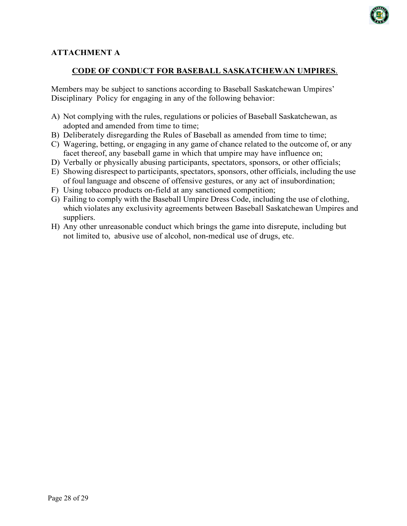

## **ATTACHMENT A**

## **CODE OF CONDUCT FOR BASEBALL SASKATCHEWAN UMPIRES**.

Members may be subject to sanctions according to Baseball Saskatchewan Umpires' Disciplinary Policy for engaging in any of the following behavior:

- A) Not complying with the rules, regulations or policies of Baseball Saskatchewan, as adopted and amended from time to time:
- B) Deliberately disregarding the Rules of Baseball as amended from time to time;
- C) Wagering, betting, or engaging in any game of chance related to the outcome of, or any facet thereof, any baseball game in which that umpire may have influence on;
- D) Verbally or physically abusing participants, spectators, sponsors, or other officials;
- E) Showing disrespect to participants, spectators, sponsors, other officials, including the use of foul language and obscene of offensive gestures, or any act of insubordination;
- F) Using tobacco products on-field at any sanctioned competition;
- G) Failing to comply with the Baseball Umpire Dress Code, including the use of clothing, which violates any exclusivity agreements between Baseball Saskatchewan Umpires and suppliers.
- H) Any other unreasonable conduct which brings the game into disrepute, including but not limited to, abusive use of alcohol, non-medical use of drugs, etc.